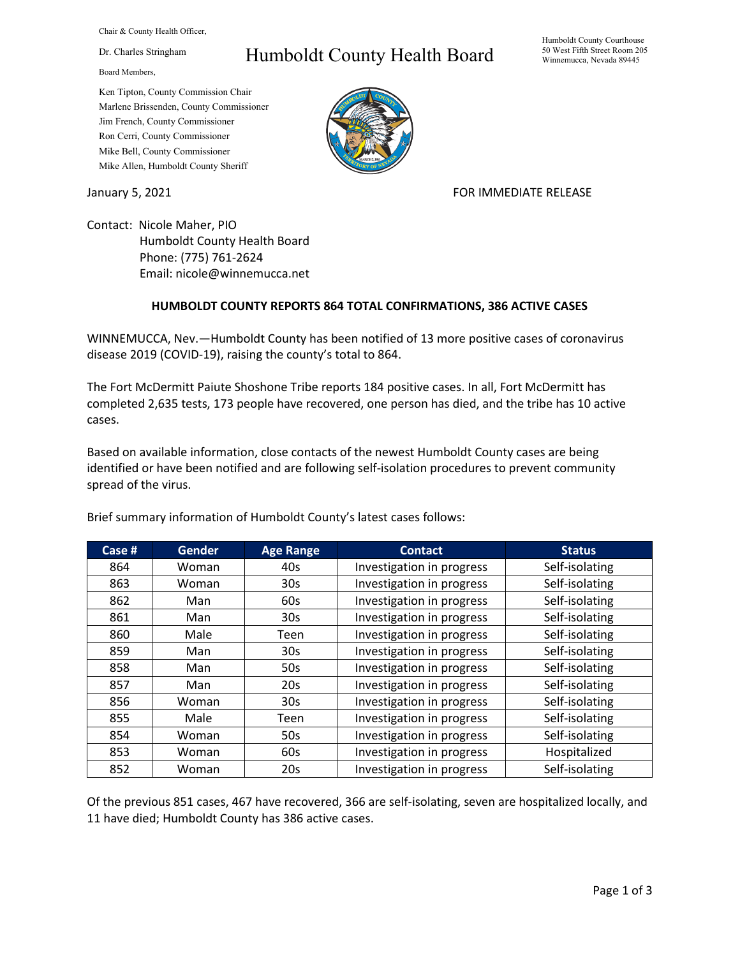Chair & County Health Officer,

Dr. Charles Stringham

Board Members,

## Humboldt County Health Board

Ken Tipton, County Commission Chair Marlene Brissenden, County Commissioner Jim French, County Commissioner Ron Cerri, County Commissioner Mike Bell, County Commissioner Mike Allen, Humboldt County Sheriff

January 5, 2021 **FOR IMMEDIATE RELEASE** 

Contact: Nicole Maher, PIO Humboldt County Health Board Phone: (775) 761-2624 Email: nicole@winnemucca.net

## **HUMBOLDT COUNTY REPORTS 864 TOTAL CONFIRMATIONS, 386 ACTIVE CASES**

WINNEMUCCA, Nev.—Humboldt County has been notified of 13 more positive cases of coronavirus disease 2019 (COVID-19), raising the county's total to 864.

The Fort McDermitt Paiute Shoshone Tribe reports 184 positive cases. In all, Fort McDermitt has completed 2,635 tests, 173 people have recovered, one person has died, and the tribe has 10 active cases.

Based on available information, close contacts of the newest Humboldt County cases are being identified or have been notified and are following self-isolation procedures to prevent community spread of the virus.

| Case # | <b>Gender</b> | <b>Age Range</b> | <b>Contact</b>            | <b>Status</b>  |
|--------|---------------|------------------|---------------------------|----------------|
| 864    | Woman         | 40s              | Investigation in progress | Self-isolating |
| 863    | Woman         | 30 <sub>s</sub>  | Investigation in progress | Self-isolating |
| 862    | Man           | 60s              | Investigation in progress | Self-isolating |
| 861    | Man           | 30 <sub>s</sub>  | Investigation in progress | Self-isolating |
| 860    | Male          | Teen             | Investigation in progress | Self-isolating |
| 859    | Man           | 30 <sub>s</sub>  | Investigation in progress | Self-isolating |
| 858    | Man           | 50s              | Investigation in progress | Self-isolating |
| 857    | Man           | 20s              | Investigation in progress | Self-isolating |
| 856    | Woman         | 30 <sub>s</sub>  | Investigation in progress | Self-isolating |
| 855    | Male          | Teen             | Investigation in progress | Self-isolating |
| 854    | Woman         | 50s              | Investigation in progress | Self-isolating |
| 853    | Woman         | 60s              | Investigation in progress | Hospitalized   |
| 852    | Woman         | 20s              | Investigation in progress | Self-isolating |

Brief summary information of Humboldt County's latest cases follows:

Of the previous 851 cases, 467 have recovered, 366 are self-isolating, seven are hospitalized locally, and 11 have died; Humboldt County has 386 active cases.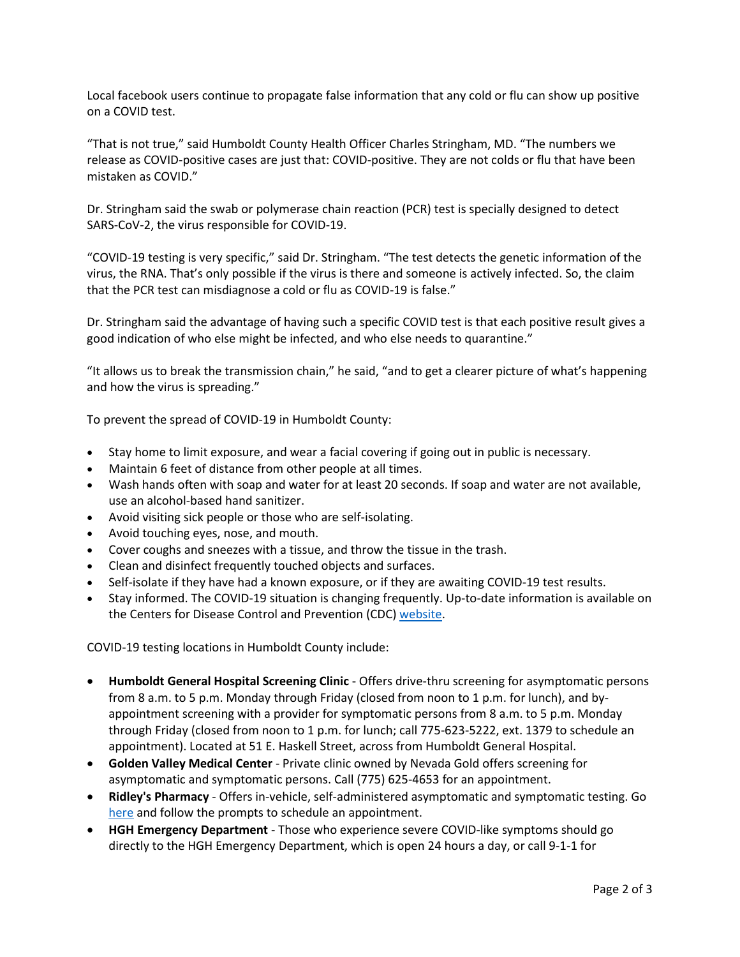Local facebook users continue to propagate false information that any cold or flu can show up positive on a COVID test.

"That is not true," said Humboldt County Health Officer Charles Stringham, MD. "The numbers we release as COVID-positive cases are just that: COVID-positive. They are not colds or flu that have been mistaken as COVID."

Dr. Stringham said the swab or polymerase chain reaction (PCR) test is specially designed to detect SARS-CoV-2, the virus responsible for COVID-19.

"COVID-19 testing is very specific," said Dr. Stringham. "The test detects the genetic information of the virus, the RNA. That's only possible if the virus is there and someone is actively infected. So, the claim that the PCR test can misdiagnose a cold or flu as COVID-19 is false."

Dr. Stringham said the advantage of having such a specific COVID test is that each positive result gives a good indication of who else might be infected, and who else needs to quarantine."

"It allows us to break the transmission chain," he said, "and to get a clearer picture of what's happening and how the virus is spreading."

To prevent the spread of COVID-19 in Humboldt County:

- Stay home to limit exposure, and wear a facial covering if going out in public is necessary.
- Maintain 6 feet of distance from other people at all times.
- Wash hands often with soap and water for at least 20 seconds. If soap and water are not available, use an alcohol-based hand sanitizer.
- Avoid visiting sick people or those who are self-isolating.
- Avoid touching eyes, nose, and mouth.
- Cover coughs and sneezes with a tissue, and throw the tissue in the trash.
- Clean and disinfect frequently touched objects and surfaces.
- Self-isolate if they have had a known exposure, or if they are awaiting COVID-19 test results.
- Stay informed. The COVID-19 situation is changing frequently. Up-to-date information is available on the Centers for Disease Control and Prevention (CDC) [website.](http://www.cdc.gov/coronavirus/2019-ncov/index.html)

COVID-19 testing locations in Humboldt County include:

- **Humboldt General Hospital Screening Clinic** Offers drive-thru screening for asymptomatic persons from 8 a.m. to 5 p.m. Monday through Friday (closed from noon to 1 p.m. for lunch), and byappointment screening with a provider for symptomatic persons from 8 a.m. to 5 p.m. Monday through Friday (closed from noon to 1 p.m. for lunch; call 775-623-5222, ext. 1379 to schedule an appointment). Located at 51 E. Haskell Street, across from Humboldt General Hospital.
- **Golden Valley Medical Center** Private clinic owned by Nevada Gold offers screening for asymptomatic and symptomatic persons. Call (775) 625-4653 for an appointment.
- **Ridley's Pharmacy** Offers in-vehicle, self-administered asymptomatic and symptomatic testing. Go [here](https://www.doineedacovid19test.com/Winnemucca_NV_1098.html) and follow the prompts to schedule an appointment.
- **HGH Emergency Department**  Those who experience severe COVID-like symptoms should go directly to the HGH Emergency Department, which is open 24 hours a day, or call 9-1-1 for